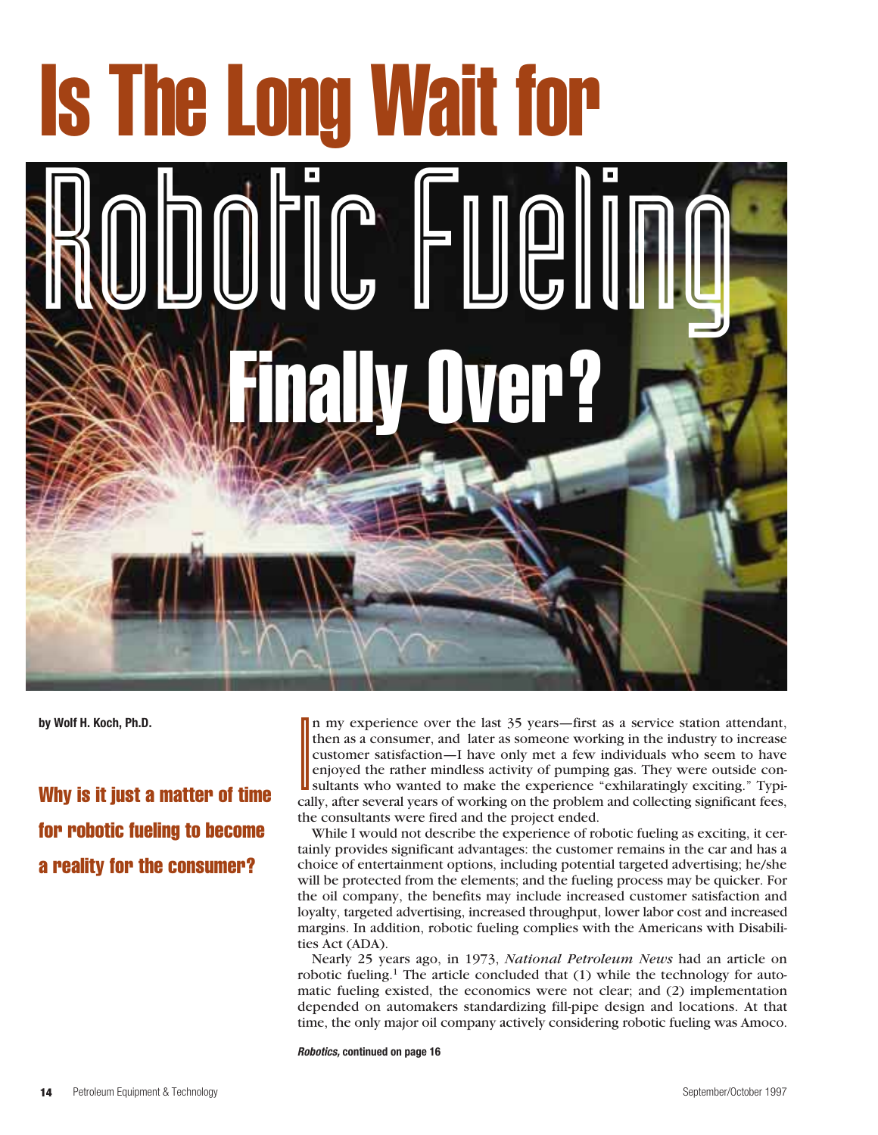# Is The Long Wait for Robotic Fueling Finally Over?

**by Wolf H. Koch, Ph.D.**

Why is it just a matter of time for robotic fueling to become a reality for the consumer?

**I**<br>Cal n my experience over the last 35 years—first as a service station attendant, then as a consumer, and later as someone working in the industry to increase customer satisfaction—I have only met a few individuals who seem to have enjoyed the rather mindless activity of pumping gas. They were outside consultants who wanted to make the experience "exhilaratingly exciting." Typically, after several years of working on the problem and collecting significant fees, the consultants were fired and the project ended.

While I would not describe the experience of robotic fueling as exciting, it certainly provides significant advantages: the customer remains in the car and has a choice of entertainment options, including potential targeted advertising; he/she will be protected from the elements; and the fueling process may be quicker. For the oil company, the benefits may include increased customer satisfaction and loyalty, targeted advertising, increased throughput, lower labor cost and increased margins. In addition, robotic fueling complies with the Americans with Disabilities Act (ADA).

Nearly 25 years ago, in 1973, *National Petroleum News* had an article on robotic fueling.<sup>1</sup> The article concluded that  $(1)$  while the technology for automatic fueling existed, the economics were not clear; and (2) implementation depended on automakers standardizing fill-pipe design and locations. At that time, the only major oil company actively considering robotic fueling was Amoco.

**Robotics, continued on page 16**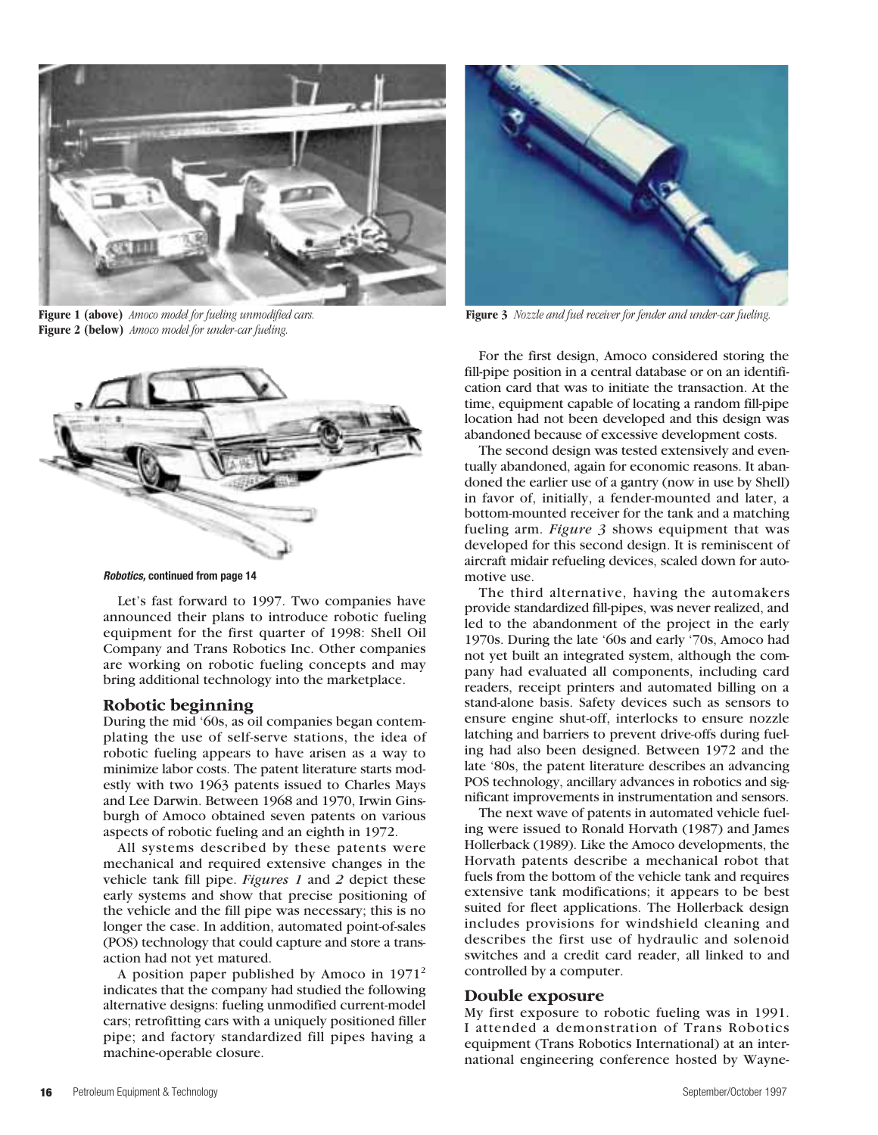

**Figure 1 (above)** *Amoco model for fueling unmodified cars.*  **Figure 2 (below)** *Amoco model for under-car fueling.*



**Robotics, continued from page 14**

Let's fast forward to 1997. Two companies have announced their plans to introduce robotic fueling equipment for the first quarter of 1998: Shell Oil Company and Trans Robotics Inc. Other companies are working on robotic fueling concepts and may bring additional technology into the marketplace.

# **Robotic beginning**

During the mid '60s, as oil companies began contemplating the use of self-serve stations, the idea of robotic fueling appears to have arisen as a way to minimize labor costs. The patent literature starts modestly with two 1963 patents issued to Charles Mays and Lee Darwin. Between 1968 and 1970, Irwin Ginsburgh of Amoco obtained seven patents on various aspects of robotic fueling and an eighth in 1972.

All systems described by these patents were mechanical and required extensive changes in the vehicle tank fill pipe. *Figures 1* and *2* depict these early systems and show that precise positioning of the vehicle and the fill pipe was necessary; this is no longer the case. In addition, automated point-of-sales (POS) technology that could capture and store a transaction had not yet matured.

A position paper published by Amoco in  $1971<sup>2</sup>$ indicates that the company had studied the following alternative designs: fueling unmodified current-model cars; retrofitting cars with a uniquely positioned filler pipe; and factory standardized fill pipes having a machine-operable closure.



**Figure 3** *Nozzle and fuel receiver for fender and under-car fueling.*

For the first design, Amoco considered storing the fill-pipe position in a central database or on an identification card that was to initiate the transaction. At the time, equipment capable of locating a random fill-pipe location had not been developed and this design was abandoned because of excessive development costs.

The second design was tested extensively and eventually abandoned, again for economic reasons. It abandoned the earlier use of a gantry (now in use by Shell) in favor of, initially, a fender-mounted and later, a bottom-mounted receiver for the tank and a matching fueling arm. *Figure 3* shows equipment that was developed for this second design. It is reminiscent of aircraft midair refueling devices, scaled down for automotive use.

The third alternative, having the automakers provide standardized fill-pipes, was never realized, and led to the abandonment of the project in the early 1970s. During the late '60s and early '70s, Amoco had not yet built an integrated system, although the company had evaluated all components, including card readers, receipt printers and automated billing on a stand-alone basis. Safety devices such as sensors to ensure engine shut-off, interlocks to ensure nozzle latching and barriers to prevent drive-offs during fueling had also been designed. Between 1972 and the late '80s, the patent literature describes an advancing POS technology, ancillary advances in robotics and significant improvements in instrumentation and sensors.

The next wave of patents in automated vehicle fueling were issued to Ronald Horvath (1987) and James Hollerback (1989). Like the Amoco developments, the Horvath patents describe a mechanical robot that fuels from the bottom of the vehicle tank and requires extensive tank modifications; it appears to be best suited for fleet applications. The Hollerback design includes provisions for windshield cleaning and describes the first use of hydraulic and solenoid switches and a credit card reader, all linked to and controlled by a computer.

# **Double exposure**

My first exposure to robotic fueling was in 1991. I attended a demonstration of Trans Robotics equipment (Trans Robotics International) at an international engineering conference hosted by Wayne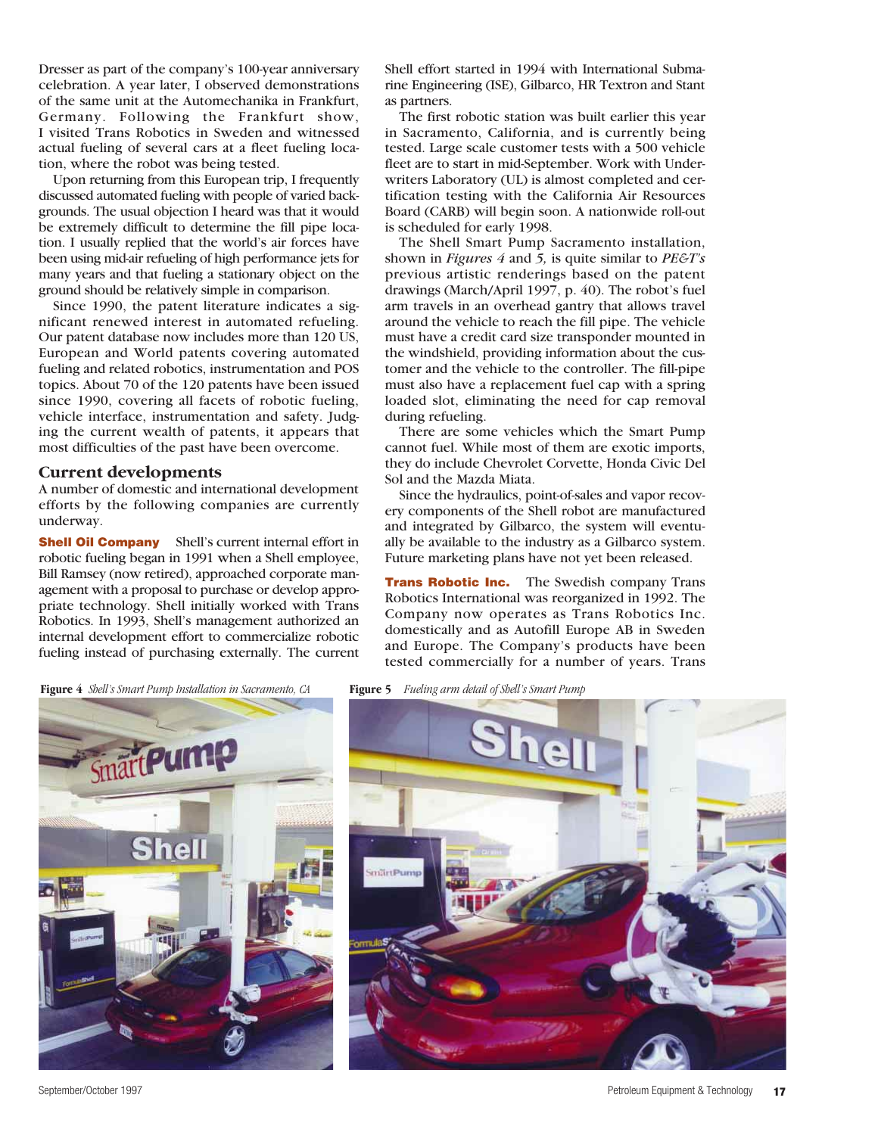Dresser as part of the company's 100-year anniversary celebration. A year later, I observed demonstrations of the same unit at the Automechanika in Frankfurt, Germany. Following the Frankfurt show, I visited Trans Robotics in Sweden and witnessed actual fueling of several cars at a fleet fueling location, where the robot was being tested.

Upon returning from this European trip, I frequently discussed automated fueling with people of varied backgrounds. The usual objection I heard was that it would be extremely difficult to determine the fill pipe location. I usually replied that the world's air forces have been using mid-air refueling of high performance jets for many years and that fueling a stationary object on the ground should be relatively simple in comparison.

Since 1990, the patent literature indicates a significant renewed interest in automated refueling. Our patent database now includes more than 120 US, European and World patents covering automated fueling and related robotics, instrumentation and POS topics. About 70 of the 120 patents have been issued since 1990, covering all facets of robotic fueling, vehicle interface, instrumentation and safety. Judging the current wealth of patents, it appears that most difficulties of the past have been overcome.

# **Current developments**

A number of domestic and international development efforts by the following companies are currently underway.

**Shell Oil Company** Shell's current internal effort in robotic fueling began in 1991 when a Shell employee, Bill Ramsey (now retired), approached corporate management with a proposal to purchase or develop appropriate technology. Shell initially worked with Trans Robotics. In 1993, Shell's management authorized an internal development effort to commercialize robotic fueling instead of purchasing externally. The current

Shell effort started in 1994 with International Submarine Engineering (ISE), Gilbarco, HR Textron and Stant as partners.

The first robotic station was built earlier this year in Sacramento, California, and is currently being tested. Large scale customer tests with a 500 vehicle fleet are to start in mid-September. Work with Underwriters Laboratory (UL) is almost completed and certification testing with the California Air Resources Board (CARB) will begin soon. A nationwide roll-out is scheduled for early 1998.

The Shell Smart Pump Sacramento installation, shown in *Figures 4* and *5,* is quite similar to *PE&T's* previous artistic renderings based on the patent drawings (March/April 1997, p. 40). The robot's fuel arm travels in an overhead gantry that allows travel around the vehicle to reach the fill pipe. The vehicle must have a credit card size transponder mounted in the windshield, providing information about the customer and the vehicle to the controller. The fill-pipe must also have a replacement fuel cap with a spring loaded slot, eliminating the need for cap removal during refueling.

There are some vehicles which the Smart Pump cannot fuel. While most of them are exotic imports, they do include Chevrolet Corvette, Honda Civic Del Sol and the Mazda Miata.

Since the hydraulics, point-of-sales and vapor recovery components of the Shell robot are manufactured and integrated by Gilbarco, the system will eventually be available to the industry as a Gilbarco system. Future marketing plans have not yet been released.

**Trans Robotic Inc.** The Swedish company Trans Robotics International was reorganized in 1992. The Company now operates as Trans Robotics Inc. domestically and as Autofill Europe AB in Sweden and Europe. The Company's products have been tested commercially for a number of years. Trans

**Figure 4** *Shell's Smart Pump Installation in Sacramento, CA* **Figure 5** *Fueling arm detail of Shell's Smart Pump*



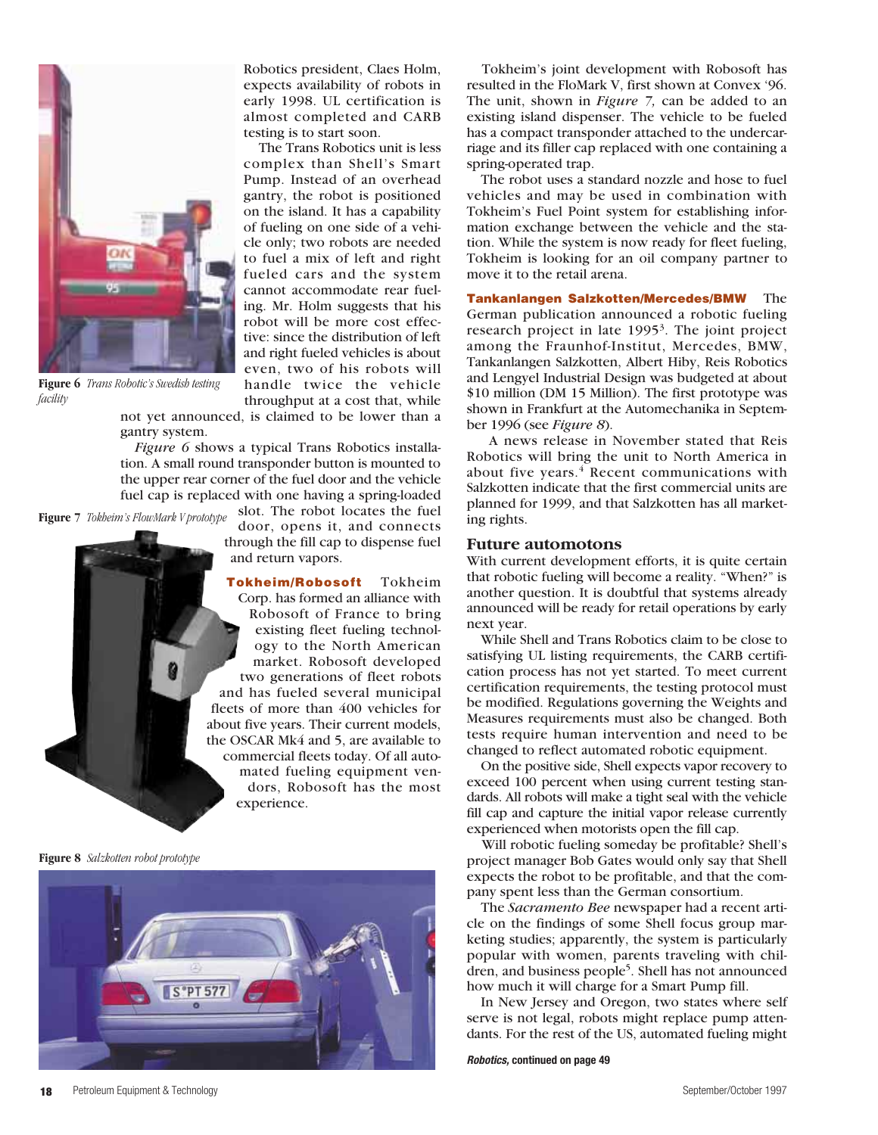

**Figure 6** *Trans Robotic's Swedish testing facility*

Robotics president, Claes Holm, expects availability of robots in early 1998. UL certification is almost completed and CARB testing is to start soon.

The Trans Robotics unit is less complex than Shell's Smart Pump. Instead of an overhead gantry, the robot is positioned on the island. It has a capability of fueling on one side of a vehicle only; two robots are needed to fuel a mix of left and right fueled cars and the system cannot accommodate rear fueling. Mr. Holm suggests that his robot will be more cost effective: since the distribution of left and right fueled vehicles is about even, two of his robots will handle twice the vehicle throughput at a cost that, while

not yet announced, is claimed to be lower than a gantry system.

*Figure 6* shows a typical Trans Robotics installation. A small round transponder button is mounted to the upper rear corner of the fuel door and the vehicle fuel cap is replaced with one having a spring-loaded

slot. The robot locates the fuel **Figure 7** *Tokheim's FlowMark V prototype*

door, opens it, and connects through the fill cap to dispense fuel and return vapors.

**Tokheim/Robosoft** Tokheim Corp. has formed an alliance with Robosoft of France to bring existing fleet fueling technology to the North American market. Robosoft developed two generations of fleet robots and has fueled several municipal fleets of more than 400 vehicles for about five years. Their current models, the OSCAR Mk4 and 5, are available to commercial fleets today. Of all automated fueling equipment vendors, Robosoft has the most experience.

**Figure 8** *Salzkotten robot prototype*



Tokheim's joint development with Robosoft has resulted in the FloMark V, first shown at Convex '96. The unit, shown in *Figure 7,* can be added to an existing island dispenser. The vehicle to be fueled has a compact transponder attached to the undercarriage and its filler cap replaced with one containing a spring-operated trap.

The robot uses a standard nozzle and hose to fuel vehicles and may be used in combination with Tokheim's Fuel Point system for establishing information exchange between the vehicle and the station. While the system is now ready for fleet fueling, Tokheim is looking for an oil company partner to move it to the retail arena.

**Tankanlangen Salzkotten/Mercedes/BMW** The German publication announced a robotic fueling research project in late 1995<sup>3</sup>. The joint project among the Fraunhof-Institut, Mercedes, BMW, Tankanlangen Salzkotten, Albert Hiby, Reis Robotics and Lengyel Industrial Design was budgeted at about \$10 million (DM 15 Million). The first prototype was shown in Frankfurt at the Automechanika in September 1996 (see *Figure 8*).

A news release in November stated that Reis Robotics will bring the unit to North America in about five years. $4$  Recent communications with Salzkotten indicate that the first commercial units are planned for 1999, and that Salzkotten has all marketing rights.

### **Future automotons**

With current development efforts, it is quite certain that robotic fueling will become a reality. "When?" is another question. It is doubtful that systems already announced will be ready for retail operations by early next year.

While Shell and Trans Robotics claim to be close to satisfying UL listing requirements, the CARB certification process has not yet started. To meet current certification requirements, the testing protocol must be modified. Regulations governing the Weights and Measures requirements must also be changed. Both tests require human intervention and need to be changed to reflect automated robotic equipment.

On the positive side, Shell expects vapor recovery to exceed 100 percent when using current testing standards. All robots will make a tight seal with the vehicle fill cap and capture the initial vapor release currently experienced when motorists open the fill cap.

Will robotic fueling someday be profitable? Shell's project manager Bob Gates would only say that Shell expects the robot to be profitable, and that the company spent less than the German consortium.

The *Sacramento Bee* newspaper had a recent article on the findings of some Shell focus group marketing studies; apparently, the system is particularly popular with women, parents traveling with children, and business people<sup>5</sup>. Shell has not announced how much it will charge for a Smart Pump fill.

In New Jersey and Oregon, two states where self serve is not legal, robots might replace pump attendants. For the rest of the US, automated fueling might

**Robotics, continued on page 49**